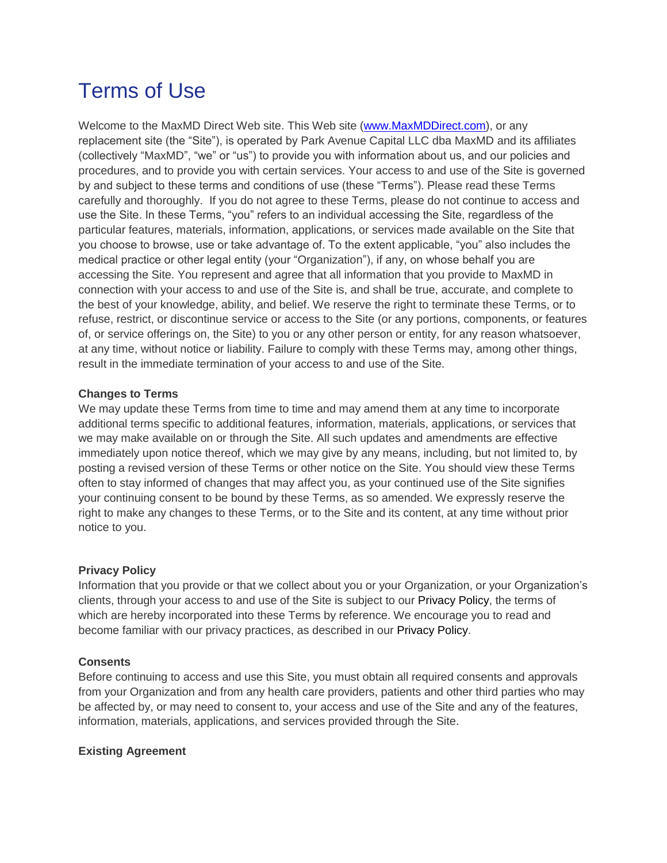# Terms of Use

Welcome to the MaxMD Direct Web site. This Web site [\(www.MaxMDDirect.com\)](http://www.maxmddirect.com/), or any replacement site (the "Site"), is operated by Park Avenue Capital LLC dba MaxMD and its affiliates (collectively "MaxMD", "we" or "us") to provide you with information about us, and our policies and procedures, and to provide you with certain services. Your access to and use of the Site is governed by and subject to these terms and conditions of use (these "Terms"). Please read these Terms carefully and thoroughly. If you do not agree to these Terms, please do not continue to access and use the Site. In these Terms, "you" refers to an individual accessing the Site, regardless of the particular features, materials, information, applications, or services made available on the Site that you choose to browse, use or take advantage of. To the extent applicable, "you" also includes the medical practice or other legal entity (your "Organization"), if any, on whose behalf you are accessing the Site. You represent and agree that all information that you provide to MaxMD in connection with your access to and use of the Site is, and shall be true, accurate, and complete to the best of your knowledge, ability, and belief. We reserve the right to terminate these Terms, or to refuse, restrict, or discontinue service or access to the Site (or any portions, components, or features of, or service offerings on, the Site) to you or any other person or entity, for any reason whatsoever, at any time, without notice or liability. Failure to comply with these Terms may, among other things, result in the immediate termination of your access to and use of the Site.

## **Changes to Terms**

We may update these Terms from time to time and may amend them at any time to incorporate additional terms specific to additional features, information, materials, applications, or services that we may make available on or through the Site. All such updates and amendments are effective immediately upon notice thereof, which we may give by any means, including, but not limited to, by posting a revised version of these Terms or other notice on the Site. You should view these Terms often to stay informed of changes that may affect you, as your continued use of the Site signifies your continuing consent to be bound by these Terms, as so amended. We expressly reserve the right to make any changes to these Terms, or to the Site and its content, at any time without prior notice to you.

## **Privacy Policy**

Information that you provide or that we collect about you or your Organization, or your Organization's clients, through your access to and use of the Site is subject to our Privacy Policy, the terms of which are hereby incorporated into these Terms by reference. We encourage you to read and become familiar with our privacy practices, as described in our Privacy Policy.

## **Consents**

Before continuing to access and use this Site, you must obtain all required consents and approvals from your Organization and from any health care providers, patients and other third parties who may be affected by, or may need to consent to, your access and use of the Site and any of the features, information, materials, applications, and services provided through the Site.

## **Existing Agreement**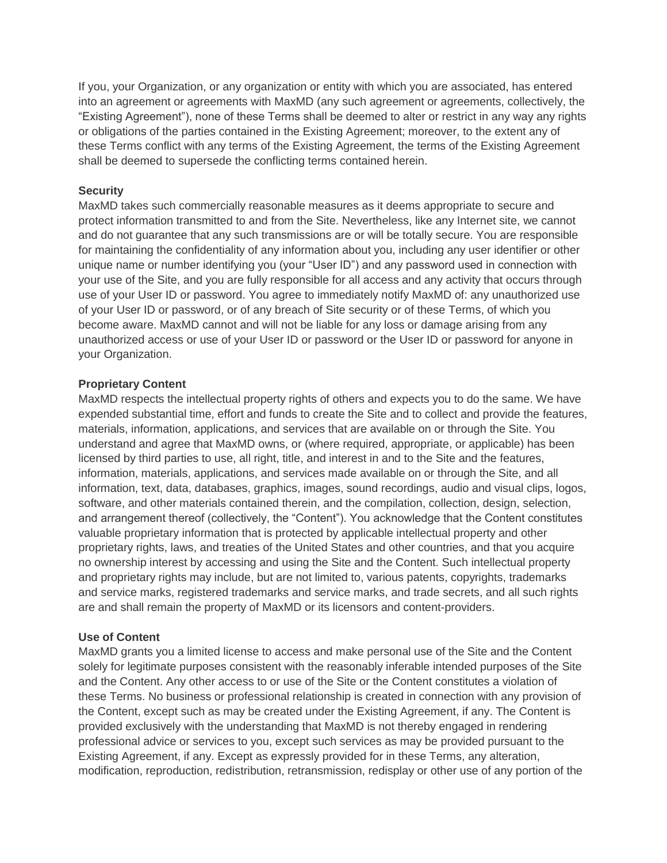If you, your Organization, or any organization or entity with which you are associated, has entered into an agreement or agreements with MaxMD (any such agreement or agreements, collectively, the "Existing Agreement"), none of these Terms shall be deemed to alter or restrict in any way any rights or obligations of the parties contained in the Existing Agreement; moreover, to the extent any of these Terms conflict with any terms of the Existing Agreement, the terms of the Existing Agreement shall be deemed to supersede the conflicting terms contained herein.

## **Security**

MaxMD takes such commercially reasonable measures as it deems appropriate to secure and protect information transmitted to and from the Site. Nevertheless, like any Internet site, we cannot and do not guarantee that any such transmissions are or will be totally secure. You are responsible for maintaining the confidentiality of any information about you, including any user identifier or other unique name or number identifying you (your "User ID") and any password used in connection with your use of the Site, and you are fully responsible for all access and any activity that occurs through use of your User ID or password. You agree to immediately notify MaxMD of: any unauthorized use of your User ID or password, or of any breach of Site security or of these Terms, of which you become aware. MaxMD cannot and will not be liable for any loss or damage arising from any unauthorized access or use of your User ID or password or the User ID or password for anyone in your Organization.

## **Proprietary Content**

MaxMD respects the intellectual property rights of others and expects you to do the same. We have expended substantial time, effort and funds to create the Site and to collect and provide the features, materials, information, applications, and services that are available on or through the Site. You understand and agree that MaxMD owns, or (where required, appropriate, or applicable) has been licensed by third parties to use, all right, title, and interest in and to the Site and the features, information, materials, applications, and services made available on or through the Site, and all information, text, data, databases, graphics, images, sound recordings, audio and visual clips, logos, software, and other materials contained therein, and the compilation, collection, design, selection, and arrangement thereof (collectively, the "Content"). You acknowledge that the Content constitutes valuable proprietary information that is protected by applicable intellectual property and other proprietary rights, laws, and treaties of the United States and other countries, and that you acquire no ownership interest by accessing and using the Site and the Content. Such intellectual property and proprietary rights may include, but are not limited to, various patents, copyrights, trademarks and service marks, registered trademarks and service marks, and trade secrets, and all such rights are and shall remain the property of MaxMD or its licensors and content-providers.

#### **Use of Content**

MaxMD grants you a limited license to access and make personal use of the Site and the Content solely for legitimate purposes consistent with the reasonably inferable intended purposes of the Site and the Content. Any other access to or use of the Site or the Content constitutes a violation of these Terms. No business or professional relationship is created in connection with any provision of the Content, except such as may be created under the Existing Agreement, if any. The Content is provided exclusively with the understanding that MaxMD is not thereby engaged in rendering professional advice or services to you, except such services as may be provided pursuant to the Existing Agreement, if any. Except as expressly provided for in these Terms, any alteration, modification, reproduction, redistribution, retransmission, redisplay or other use of any portion of the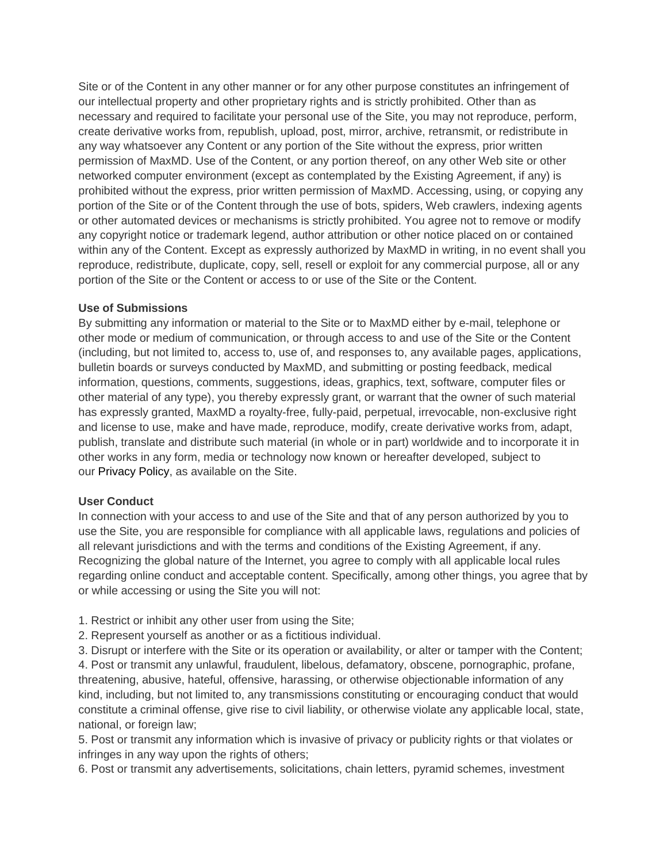Site or of the Content in any other manner or for any other purpose constitutes an infringement of our intellectual property and other proprietary rights and is strictly prohibited. Other than as necessary and required to facilitate your personal use of the Site, you may not reproduce, perform, create derivative works from, republish, upload, post, mirror, archive, retransmit, or redistribute in any way whatsoever any Content or any portion of the Site without the express, prior written permission of MaxMD. Use of the Content, or any portion thereof, on any other Web site or other networked computer environment (except as contemplated by the Existing Agreement, if any) is prohibited without the express, prior written permission of MaxMD. Accessing, using, or copying any portion of the Site or of the Content through the use of bots, spiders, Web crawlers, indexing agents or other automated devices or mechanisms is strictly prohibited. You agree not to remove or modify any copyright notice or trademark legend, author attribution or other notice placed on or contained within any of the Content. Except as expressly authorized by MaxMD in writing, in no event shall you reproduce, redistribute, duplicate, copy, sell, resell or exploit for any commercial purpose, all or any portion of the Site or the Content or access to or use of the Site or the Content.

## **Use of Submissions**

By submitting any information or material to the Site or to MaxMD either by e-mail, telephone or other mode or medium of communication, or through access to and use of the Site or the Content (including, but not limited to, access to, use of, and responses to, any available pages, applications, bulletin boards or surveys conducted by MaxMD, and submitting or posting feedback, medical information, questions, comments, suggestions, ideas, graphics, text, software, computer files or other material of any type), you thereby expressly grant, or warrant that the owner of such material has expressly granted, MaxMD a royalty-free, fully-paid, perpetual, irrevocable, non-exclusive right and license to use, make and have made, reproduce, modify, create derivative works from, adapt, publish, translate and distribute such material (in whole or in part) worldwide and to incorporate it in other works in any form, media or technology now known or hereafter developed, subject to our Privacy Policy, as available on the Site.

## **User Conduct**

In connection with your access to and use of the Site and that of any person authorized by you to use the Site, you are responsible for compliance with all applicable laws, regulations and policies of all relevant jurisdictions and with the terms and conditions of the Existing Agreement, if any. Recognizing the global nature of the Internet, you agree to comply with all applicable local rules regarding online conduct and acceptable content. Specifically, among other things, you agree that by or while accessing or using the Site you will not:

- 1. Restrict or inhibit any other user from using the Site;
- 2. Represent yourself as another or as a fictitious individual.
- 3. Disrupt or interfere with the Site or its operation or availability, or alter or tamper with the Content;

4. Post or transmit any unlawful, fraudulent, libelous, defamatory, obscene, pornographic, profane, threatening, abusive, hateful, offensive, harassing, or otherwise objectionable information of any kind, including, but not limited to, any transmissions constituting or encouraging conduct that would constitute a criminal offense, give rise to civil liability, or otherwise violate any applicable local, state, national, or foreign law;

5. Post or transmit any information which is invasive of privacy or publicity rights or that violates or infringes in any way upon the rights of others;

6. Post or transmit any advertisements, solicitations, chain letters, pyramid schemes, investment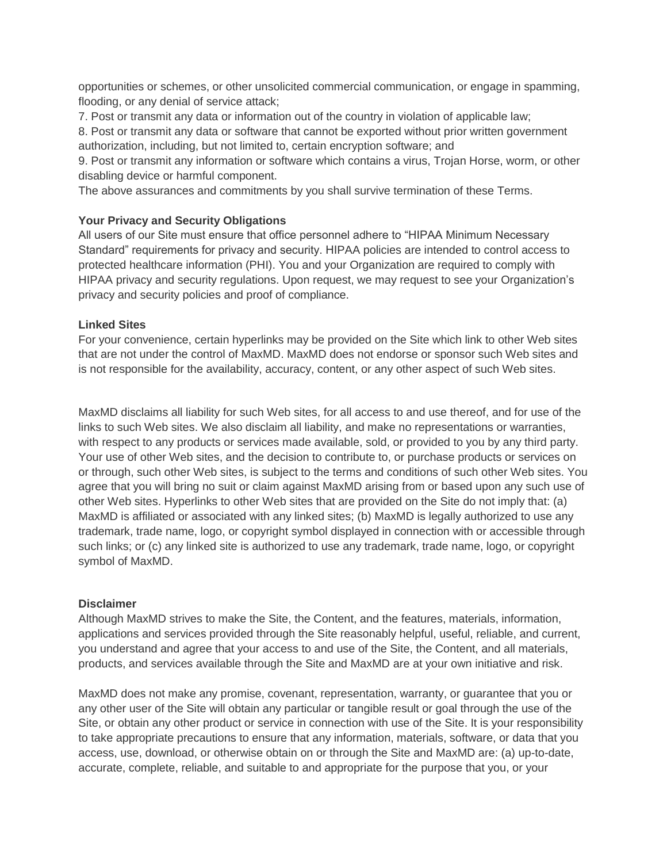opportunities or schemes, or other unsolicited commercial communication, or engage in spamming, flooding, or any denial of service attack;

7. Post or transmit any data or information out of the country in violation of applicable law;

8. Post or transmit any data or software that cannot be exported without prior written government authorization, including, but not limited to, certain encryption software; and

9. Post or transmit any information or software which contains a virus, Trojan Horse, worm, or other disabling device or harmful component.

The above assurances and commitments by you shall survive termination of these Terms.

## **Your Privacy and Security Obligations**

All users of our Site must ensure that office personnel adhere to "HIPAA Minimum Necessary Standard" requirements for privacy and security. HIPAA policies are intended to control access to protected healthcare information (PHI). You and your Organization are required to comply with HIPAA privacy and security regulations. Upon request, we may request to see your Organization's privacy and security policies and proof of compliance.

## **Linked Sites**

For your convenience, certain hyperlinks may be provided on the Site which link to other Web sites that are not under the control of MaxMD. MaxMD does not endorse or sponsor such Web sites and is not responsible for the availability, accuracy, content, or any other aspect of such Web sites.

MaxMD disclaims all liability for such Web sites, for all access to and use thereof, and for use of the links to such Web sites. We also disclaim all liability, and make no representations or warranties, with respect to any products or services made available, sold, or provided to you by any third party. Your use of other Web sites, and the decision to contribute to, or purchase products or services on or through, such other Web sites, is subject to the terms and conditions of such other Web sites. You agree that you will bring no suit or claim against MaxMD arising from or based upon any such use of other Web sites. Hyperlinks to other Web sites that are provided on the Site do not imply that: (a) MaxMD is affiliated or associated with any linked sites; (b) MaxMD is legally authorized to use any trademark, trade name, logo, or copyright symbol displayed in connection with or accessible through such links; or (c) any linked site is authorized to use any trademark, trade name, logo, or copyright symbol of MaxMD.

#### **Disclaimer**

Although MaxMD strives to make the Site, the Content, and the features, materials, information, applications and services provided through the Site reasonably helpful, useful, reliable, and current, you understand and agree that your access to and use of the Site, the Content, and all materials, products, and services available through the Site and MaxMD are at your own initiative and risk.

MaxMD does not make any promise, covenant, representation, warranty, or guarantee that you or any other user of the Site will obtain any particular or tangible result or goal through the use of the Site, or obtain any other product or service in connection with use of the Site. It is your responsibility to take appropriate precautions to ensure that any information, materials, software, or data that you access, use, download, or otherwise obtain on or through the Site and MaxMD are: (a) up-to-date, accurate, complete, reliable, and suitable to and appropriate for the purpose that you, or your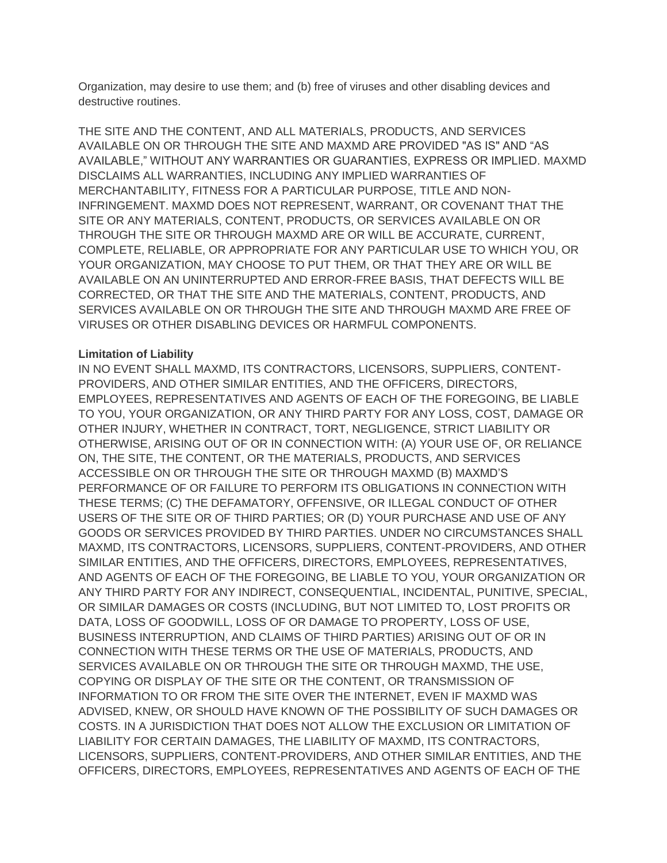Organization, may desire to use them; and (b) free of viruses and other disabling devices and destructive routines.

THE SITE AND THE CONTENT, AND ALL MATERIALS, PRODUCTS, AND SERVICES AVAILABLE ON OR THROUGH THE SITE AND MAXMD ARE PROVIDED "AS IS" AND "AS AVAILABLE," WITHOUT ANY WARRANTIES OR GUARANTIES, EXPRESS OR IMPLIED. MAXMD DISCLAIMS ALL WARRANTIES, INCLUDING ANY IMPLIED WARRANTIES OF MERCHANTABILITY, FITNESS FOR A PARTICULAR PURPOSE, TITLE AND NON-INFRINGEMENT. MAXMD DOES NOT REPRESENT, WARRANT, OR COVENANT THAT THE SITE OR ANY MATERIALS, CONTENT, PRODUCTS, OR SERVICES AVAILABLE ON OR THROUGH THE SITE OR THROUGH MAXMD ARE OR WILL BE ACCURATE, CURRENT, COMPLETE, RELIABLE, OR APPROPRIATE FOR ANY PARTICULAR USE TO WHICH YOU, OR YOUR ORGANIZATION, MAY CHOOSE TO PUT THEM, OR THAT THEY ARE OR WILL BE AVAILABLE ON AN UNINTERRUPTED AND ERROR-FREE BASIS, THAT DEFECTS WILL BE CORRECTED, OR THAT THE SITE AND THE MATERIALS, CONTENT, PRODUCTS, AND SERVICES AVAILABLE ON OR THROUGH THE SITE AND THROUGH MAXMD ARE FREE OF VIRUSES OR OTHER DISABLING DEVICES OR HARMFUL COMPONENTS.

## **Limitation of Liability**

IN NO EVENT SHALL MAXMD, ITS CONTRACTORS, LICENSORS, SUPPLIERS, CONTENT-PROVIDERS, AND OTHER SIMILAR ENTITIES, AND THE OFFICERS, DIRECTORS, EMPLOYEES, REPRESENTATIVES AND AGENTS OF EACH OF THE FOREGOING, BE LIABLE TO YOU, YOUR ORGANIZATION, OR ANY THIRD PARTY FOR ANY LOSS, COST, DAMAGE OR OTHER INJURY, WHETHER IN CONTRACT, TORT, NEGLIGENCE, STRICT LIABILITY OR OTHERWISE, ARISING OUT OF OR IN CONNECTION WITH: (A) YOUR USE OF, OR RELIANCE ON, THE SITE, THE CONTENT, OR THE MATERIALS, PRODUCTS, AND SERVICES ACCESSIBLE ON OR THROUGH THE SITE OR THROUGH MAXMD (B) MAXMD'S PERFORMANCE OF OR FAILURE TO PERFORM ITS OBLIGATIONS IN CONNECTION WITH THESE TERMS; (C) THE DEFAMATORY, OFFENSIVE, OR ILLEGAL CONDUCT OF OTHER USERS OF THE SITE OR OF THIRD PARTIES; OR (D) YOUR PURCHASE AND USE OF ANY GOODS OR SERVICES PROVIDED BY THIRD PARTIES. UNDER NO CIRCUMSTANCES SHALL MAXMD, ITS CONTRACTORS, LICENSORS, SUPPLIERS, CONTENT-PROVIDERS, AND OTHER SIMILAR ENTITIES, AND THE OFFICERS, DIRECTORS, EMPLOYEES, REPRESENTATIVES, AND AGENTS OF EACH OF THE FOREGOING, BE LIABLE TO YOU, YOUR ORGANIZATION OR ANY THIRD PARTY FOR ANY INDIRECT, CONSEQUENTIAL, INCIDENTAL, PUNITIVE, SPECIAL, OR SIMILAR DAMAGES OR COSTS (INCLUDING, BUT NOT LIMITED TO, LOST PROFITS OR DATA, LOSS OF GOODWILL, LOSS OF OR DAMAGE TO PROPERTY, LOSS OF USE, BUSINESS INTERRUPTION, AND CLAIMS OF THIRD PARTIES) ARISING OUT OF OR IN CONNECTION WITH THESE TERMS OR THE USE OF MATERIALS, PRODUCTS, AND SERVICES AVAILABLE ON OR THROUGH THE SITE OR THROUGH MAXMD, THE USE, COPYING OR DISPLAY OF THE SITE OR THE CONTENT, OR TRANSMISSION OF INFORMATION TO OR FROM THE SITE OVER THE INTERNET, EVEN IF MAXMD WAS ADVISED, KNEW, OR SHOULD HAVE KNOWN OF THE POSSIBILITY OF SUCH DAMAGES OR COSTS. IN A JURISDICTION THAT DOES NOT ALLOW THE EXCLUSION OR LIMITATION OF LIABILITY FOR CERTAIN DAMAGES, THE LIABILITY OF MAXMD, ITS CONTRACTORS, LICENSORS, SUPPLIERS, CONTENT-PROVIDERS, AND OTHER SIMILAR ENTITIES, AND THE OFFICERS, DIRECTORS, EMPLOYEES, REPRESENTATIVES AND AGENTS OF EACH OF THE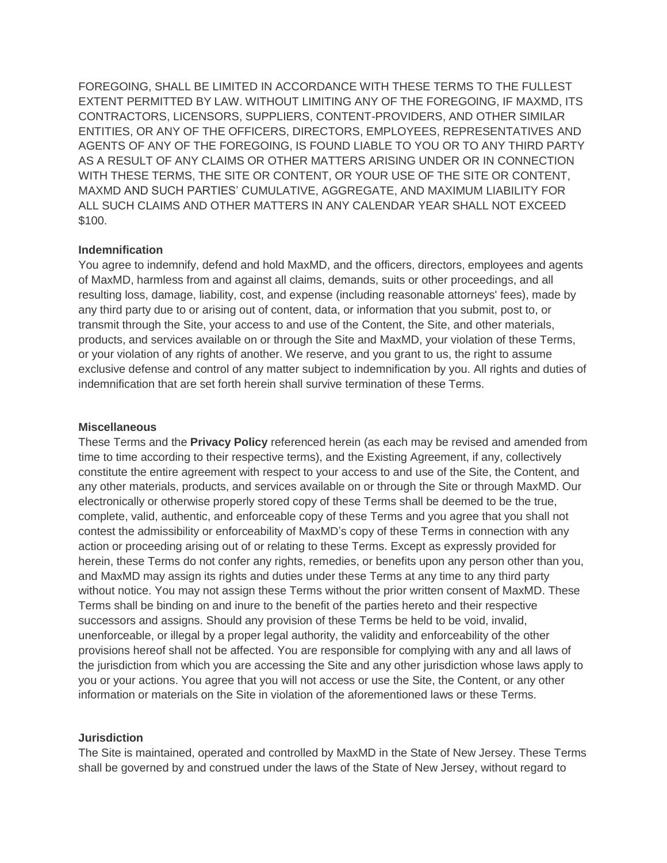FOREGOING, SHALL BE LIMITED IN ACCORDANCE WITH THESE TERMS TO THE FULLEST EXTENT PERMITTED BY LAW. WITHOUT LIMITING ANY OF THE FOREGOING, IF MAXMD, ITS CONTRACTORS, LICENSORS, SUPPLIERS, CONTENT-PROVIDERS, AND OTHER SIMILAR ENTITIES, OR ANY OF THE OFFICERS, DIRECTORS, EMPLOYEES, REPRESENTATIVES AND AGENTS OF ANY OF THE FOREGOING, IS FOUND LIABLE TO YOU OR TO ANY THIRD PARTY AS A RESULT OF ANY CLAIMS OR OTHER MATTERS ARISING UNDER OR IN CONNECTION WITH THESE TERMS, THE SITE OR CONTENT, OR YOUR USE OF THE SITE OR CONTENT, MAXMD AND SUCH PARTIES' CUMULATIVE, AGGREGATE, AND MAXIMUM LIABILITY FOR ALL SUCH CLAIMS AND OTHER MATTERS IN ANY CALENDAR YEAR SHALL NOT EXCEED \$100.

#### **Indemnification**

You agree to indemnify, defend and hold MaxMD, and the officers, directors, employees and agents of MaxMD, harmless from and against all claims, demands, suits or other proceedings, and all resulting loss, damage, liability, cost, and expense (including reasonable attorneys' fees), made by any third party due to or arising out of content, data, or information that you submit, post to, or transmit through the Site, your access to and use of the Content, the Site, and other materials, products, and services available on or through the Site and MaxMD, your violation of these Terms, or your violation of any rights of another. We reserve, and you grant to us, the right to assume exclusive defense and control of any matter subject to indemnification by you. All rights and duties of indemnification that are set forth herein shall survive termination of these Terms.

## **Miscellaneous**

These Terms and the **Privacy Policy** referenced herein (as each may be revised and amended from time to time according to their respective terms), and the Existing Agreement, if any, collectively constitute the entire agreement with respect to your access to and use of the Site, the Content, and any other materials, products, and services available on or through the Site or through MaxMD. Our electronically or otherwise properly stored copy of these Terms shall be deemed to be the true, complete, valid, authentic, and enforceable copy of these Terms and you agree that you shall not contest the admissibility or enforceability of MaxMD's copy of these Terms in connection with any action or proceeding arising out of or relating to these Terms. Except as expressly provided for herein, these Terms do not confer any rights, remedies, or benefits upon any person other than you, and MaxMD may assign its rights and duties under these Terms at any time to any third party without notice. You may not assign these Terms without the prior written consent of MaxMD. These Terms shall be binding on and inure to the benefit of the parties hereto and their respective successors and assigns. Should any provision of these Terms be held to be void, invalid, unenforceable, or illegal by a proper legal authority, the validity and enforceability of the other provisions hereof shall not be affected. You are responsible for complying with any and all laws of the jurisdiction from which you are accessing the Site and any other jurisdiction whose laws apply to you or your actions. You agree that you will not access or use the Site, the Content, or any other information or materials on the Site in violation of the aforementioned laws or these Terms.

## **Jurisdiction**

The Site is maintained, operated and controlled by MaxMD in the State of New Jersey. These Terms shall be governed by and construed under the laws of the State of New Jersey, without regard to